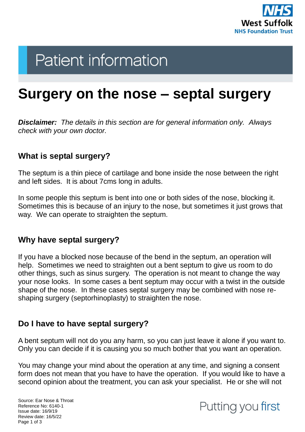

# **Patient information**

## **Surgery on the nose – septal surgery**

*Disclaimer: The details in this section are for general information only. Always check with your own doctor.* 

#### **What is septal surgery?**

The septum is a thin piece of cartilage and bone inside the nose between the right and left sides. It is about 7cms long in adults.

In some people this septum is bent into one or both sides of the nose, blocking it. Sometimes this is because of an injury to the nose, but sometimes it just grows that way. We can operate to straighten the septum.

#### **Why have septal surgery?**

If you have a blocked nose because of the bend in the septum, an operation will help. Sometimes we need to straighten out a bent septum to give us room to do other things, such as sinus surgery. The operation is not meant to change the way your nose looks. In some cases a bent septum may occur with a twist in the outside shape of the nose. In these cases septal surgery may be combined with nose reshaping surgery (septorhinoplasty) to straighten the nose.

#### **Do I have to have septal surgery?**

A bent septum will not do you any harm, so you can just leave it alone if you want to. Only you can decide if it is causing you so much bother that you want an operation.

You may change your mind about the operation at any time, and signing a consent form does not mean that you have to have the operation. If you would like to have a second opinion about the treatment, you can ask your specialist. He or she will not

Source: Ear Nose & Throat Reference No: 6140-1 Issue date: 16/9/19 Review date: 16/5/22 Page 1 of 3

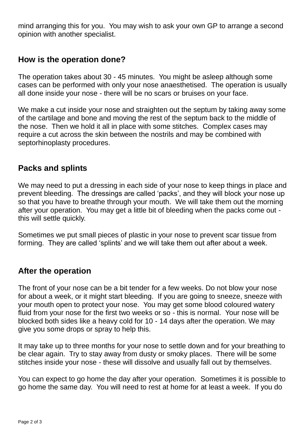mind arranging this for you. You may wish to ask your own GP to arrange a second opinion with another specialist.

#### **How is the operation done?**

The operation takes about 30 - 45 minutes. You might be asleep although some cases can be performed with only your nose anaesthetised. The operation is usually all done inside your nose - there will be no scars or bruises on your face.

We make a cut inside your nose and straighten out the septum by taking away some of the cartilage and bone and moving the rest of the septum back to the middle of the nose. Then we hold it all in place with some stitches. Complex cases may require a cut across the skin between the nostrils and may be combined with septorhinoplasty procedures.

#### **Packs and splints**

We may need to put a dressing in each side of your nose to keep things in place and prevent bleeding. The dressings are called 'packs', and they will block your nose up so that you have to breathe through your mouth. We will take them out the morning after your operation. You may get a little bit of bleeding when the packs come out this will settle quickly.

Sometimes we put small pieces of plastic in your nose to prevent scar tissue from forming. They are called 'splints' and we will take them out after about a week.

#### **After the operation**

The front of your nose can be a bit tender for a few weeks. Do not blow your nose for about a week, or it might start bleeding. If you are going to sneeze, sneeze with your mouth open to protect your nose. You may get some blood coloured watery fluid from your nose for the first two weeks or so - this is normal. Your nose will be blocked both sides like a heavy cold for 10 - 14 days after the operation. We may give you some drops or spray to help this.

It may take up to three months for your nose to settle down and for your breathing to be clear again. Try to stay away from dusty or smoky places. There will be some stitches inside your nose - these will dissolve and usually fall out by themselves.

You can expect to go home the day after your operation. Sometimes it is possible to go home the same day. You will need to rest at home for at least a week. If you do